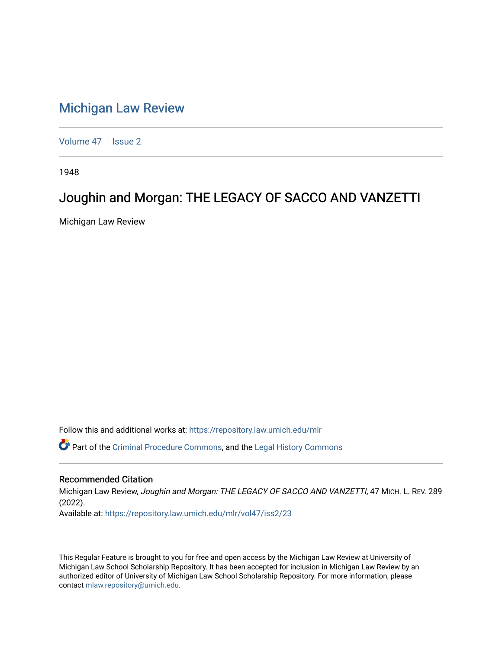## [Michigan Law Review](https://repository.law.umich.edu/mlr)

[Volume 47](https://repository.law.umich.edu/mlr/vol47) | [Issue 2](https://repository.law.umich.edu/mlr/vol47/iss2)

1948

## Joughin and Morgan: THE LEGACY OF SACCO AND VANZETTI

Michigan Law Review

Follow this and additional works at: [https://repository.law.umich.edu/mlr](https://repository.law.umich.edu/mlr?utm_source=repository.law.umich.edu%2Fmlr%2Fvol47%2Fiss2%2F23&utm_medium=PDF&utm_campaign=PDFCoverPages) 

Part of the [Criminal Procedure Commons,](http://network.bepress.com/hgg/discipline/1073?utm_source=repository.law.umich.edu%2Fmlr%2Fvol47%2Fiss2%2F23&utm_medium=PDF&utm_campaign=PDFCoverPages) and the [Legal History Commons](http://network.bepress.com/hgg/discipline/904?utm_source=repository.law.umich.edu%2Fmlr%2Fvol47%2Fiss2%2F23&utm_medium=PDF&utm_campaign=PDFCoverPages) 

## Recommended Citation

Michigan Law Review, Joughin and Morgan: THE LEGACY OF SACCO AND VANZETTI, 47 MICH. L. REV. 289 (2022). Available at: [https://repository.law.umich.edu/mlr/vol47/iss2/23](https://repository.law.umich.edu/mlr/vol47/iss2/23?utm_source=repository.law.umich.edu%2Fmlr%2Fvol47%2Fiss2%2F23&utm_medium=PDF&utm_campaign=PDFCoverPages) 

This Regular Feature is brought to you for free and open access by the Michigan Law Review at University of Michigan Law School Scholarship Repository. It has been accepted for inclusion in Michigan Law Review by an authorized editor of University of Michigan Law School Scholarship Repository. For more information, please contact [mlaw.repository@umich.edu](mailto:mlaw.repository@umich.edu).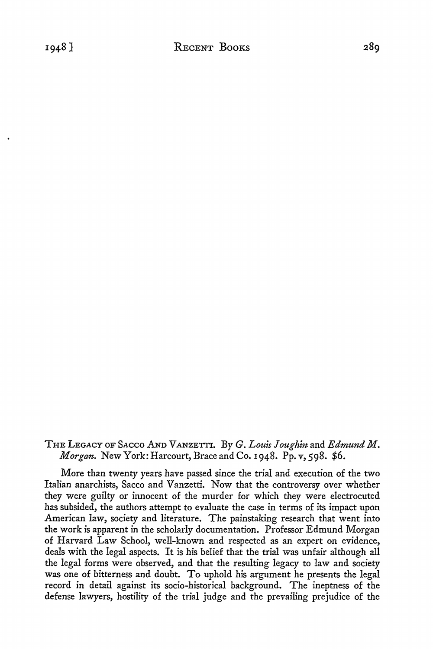## THE LEGACY OF SACCO AND VANZETTI. By *G. Louis Joughin* and *Edmund M*. *Morgan.* New York: Harcourt, Brace and Co. 1948. Pp. v, 598. \$6.

More than twenty years have passed since the trial and execution of the two Italian anarchists, Sacco and Vanzetti. Now that the controversy over whether they were guilty or innocent of the murder for which they were electrocuted has subsided, the authors attempt to evaluate the case in terms of its impact upon American law, society and literature. The painstaking research that went into the work is apparent in the scholarly documentation. Professor Edmund Morgan of Harvard Law School, well-known and respected as an expert on evidence, deals with the legal aspects. It is his belief that the trial was unfair although all the legal forms were observed, and that the resulting legacy to law and society was one of bitterness and doubt. To uphold his argument he presents the legal record in detail against its socio-historical background. The ineptness of the defense lawyers, hostility of the trial judge and the prevailing prejudice of the